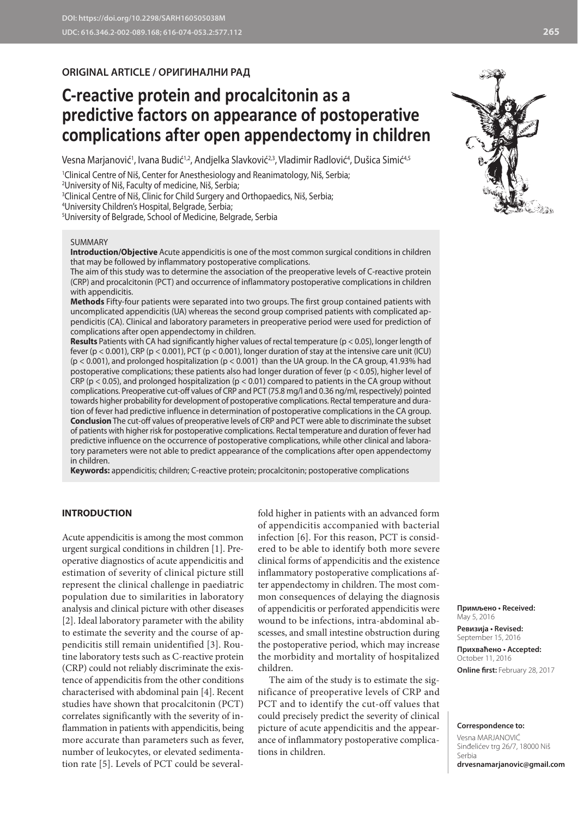# **ORIGINAL ARTICLE / ОРИГИНАЛНИ РАД**

# **C-reactive protein and procalcitonin as a predictive factors on appearance of postoperative complications after open appendectomy in children**

Vesna Marjanović<sup>1</sup>, Ivana Budić<sup>1,2</sup>, Andjelka Slavković<sup>2,3</sup>, Vladimir Radlović<sup>4</sup>, Dušica Simić<sup>4,5</sup>

1 Clinical Centre of Niš, Center for Anesthesiology and Reanimatology, Niš, Serbia;

2 University of Niš, Faculty of medicine, Niš, Serbia;

3 Clinical Centre of Niš, Clinic for Child Surgery and Orthopaedics, Niš, Serbia;

4 University Children's Hospital, Belgrade, Serbia;

5 University of Belgrade, School of Medicine, Belgrade, Serbia

#### SUMMARY

**Introduction/Objective** Acute appendicitis is one of the most common surgical conditions in children that may be followed by inflammatory postoperative complications.

The aim of this study was to determine the association of the preoperative levels of C-reactive protein (CRP) and procalcitonin (PCT) and occurrence of inflammatory postoperative complications in children with appendicitis.

**Methods** Fifty-four patients were separated into two groups. The first group contained patients with uncomplicated appendicitis (UA) whereas the second group comprised patients with complicated appendicitis (CA). Clinical and laboratory parameters in preoperative period were used for prediction of complications after open appendectomy in children.

**Results** Patients with CA had significantly higher values of rectal temperature (p < 0.05), longer length of fever (p < 0.001), CRP (p < 0.001), PCT (p < 0.001), longer duration of stay at the intensive care unit (ICU)  $(p < 0.001)$ , and prolonged hospitalization  $(p < 0.001)$  than the UA group. In the CA group, 41.93% had postoperative complications; these patients also had longer duration of fever (p < 0.05), higher level of CRP (p < 0.05), and prolonged hospitalization (p < 0.01) compared to patients in the CA group without complications. Preoperative cut-off values of CRP and PCT (75.8 mg/l and 0.36 ng/ml, respectively) pointed towards higher probability for development of postoperative complications. Rectal temperature and duration of fever had predictive influence in determination of postoperative complications in the CA group. **Conclusion** The cut-off values of preoperative levels of CRP and PCT were able to discriminate the subset of patients with higher risk for postoperative complications. Rectal temperature and duration of fever had predictive influence on the occurrence of postoperative complications, while other clinical and laboratory parameters were not able to predict appearance of the complications after open appendectomy in children.

**Keywords:** appendicitis; children; C-reactive protein; procalcitonin; postoperative complications

# **INTRODUCTION**

Acute appendicitis is among the most common urgent surgical conditions in children [1]. Preoperative diagnostics of acute appendicitis and estimation of severity of clinical picture still represent the clinical challenge in paediatric population due to similarities in laboratory analysis and clinical picture with other diseases [2]. Ideal laboratory parameter with the ability to estimate the severity and the course of appendicitis still remain unidentified [3]. Routine laboratory tests such as C-reactive protein (CRP) could not reliably discriminate the existence of appendicitis from the other conditions characterised with abdominal pain [4]. Recent studies have shown that procalcitonin (PCT) correlates significantly with the severity of inflammation in patients with appendicitis, being more accurate than parameters such as fever, number of leukocytes, or elevated sedimentation rate [5]. Levels of PCT could be several-

fold higher in patients with an advanced form of appendicitis accompanied with bacterial infection [6]. For this reason, PCT is considered to be able to identify both more severe clinical forms of appendicitis and the existence inflammatory postoperative complications after appendectomy in children. The most common consequences of delaying the diagnosis of appendicitis or perforated appendicitis were wound to be infections, intra-abdominal abscesses, and small intestine obstruction during the postoperative period, which may increase the morbidity and mortality of hospitalized children.

The aim of the study is to estimate the significance of preoperative levels of CRP and PCT and to identify the cut-off values that could precisely predict the severity of clinical picture of acute appendicitis and the appearance of inflammatory postoperative complications in children.

**Примљено • Received:**  May 5, 2016

**Ревизија • Revised:**  September 15, 2016 **Прихваћено • Accepted:** October 11, 2016 **Online first:** February 28, 2017

#### **Correspondence to:**

Vesna MARJANOVIĆ Sinđelićev trg 26/7, 18000 Niš Serbia **drvesnamarjanovic@gmail.com**

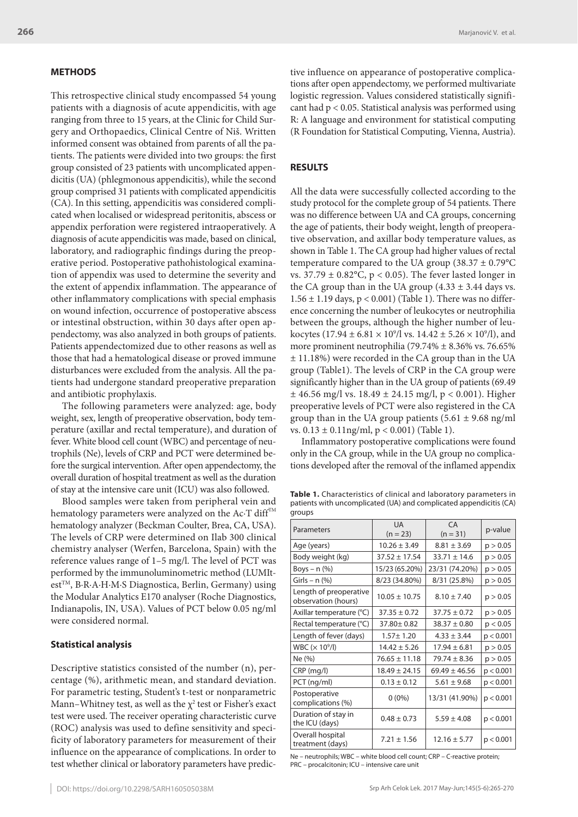## **METHODS**

This retrospective clinical study encompassed 54 young patients with a diagnosis of acute appendicitis, with age ranging from three to 15 years, at the Clinic for Child Surgery and Orthopaedics, Clinical Centre of Niš. Written informed consent was obtained from parents of all the patients. The patients were divided into two groups: the first group consisted of 23 patients with uncomplicated appendicitis (UA) (phlegmonous appendicitis), while the second group comprised 31 patients with complicated appendicitis (CA). In this setting, appendicitis was considered complicated when localised or widespread peritonitis, abscess or appendix perforation were registered intraoperatively. A diagnosis of acute appendicitis was made, based on clinical, laboratory, and radiographic findings during the preoperative period. Postoperative pathohistological examination of appendix was used to determine the severity and the extent of appendix inflammation. The appearance of other inflammatory complications with special emphasis on wound infection, occurrence of postoperative abscess or intestinal obstruction, within 30 days after open appendectomy, was also analyzed in both groups of patients. Patients appendectomized due to other reasons as well as those that had a hematological disease or proved immune disturbances were excluded from the analysis. All the patients had undergone standard preoperative preparation and antibiotic prophylaxis.

The following parameters were analyzed: age, body weight, sex, length of preoperative observation, body temperature (axillar and rectal temperature), and duration of fever. White blood cell count (WBC) and percentage of neutrophils (Ne), levels of CRP and PCT were determined before the surgical intervention. After open appendectomy, the overall duration of hospital treatment as well as the duration of stay at the intensive care unit (ICU) was also followed.

Blood samples were taken from peripheral vein and hematology parameters were analyzed on the Ac $\cdot$ T diff $T^M$ hematology analyzer (Beckman Coulter, Brea, CA, USA). The levels of CRP were determined on Ilab 300 clinical chemistry analyser (Werfen, Barcelona, Spain) with the reference values range of 1–5 mg/l. The level of PCT was performed by the immunoluminometric method (LUMItest™, B·R·A·H·M·S Diagnostica, Berlin, Germany) using the Modular Analytics E170 analyser (Roche Diagnostics, Indianapolis, IN, USA). Values of PCT below 0.05 ng/ml were considered normal.

#### **Statistical analysis**

Descriptive statistics consisted of the number (n), percentage (%), arithmetic mean, and standard deviation. For parametric testing, Student's t-test or nonparametric Mann–Whitney test, as well as the  $\chi^2$  test or Fisher's exact test were used. The receiver operating characteristic curve (ROC) analysis was used to define sensitivity and specificity of laboratory parameters for measurement of their influence on the appearance of complications. In order to test whether clinical or laboratory parameters have predictive influence on appearance of postoperative complications after open appendectomy, we performed multivariate logistic regression. Values considered statistically significant had p < 0.05. Statistical analysis was performed using R: A language and environment for statistical computing (R Foundation for Statistical Computing, Vienna, Austria).

## **RESULTS**

All the data were successfully collected according to the study protocol for the complete group of 54 patients. There was no difference between UA and CA groups, concerning the age of patients, their body weight, length of preoperative observation, and axillar body temperature values, as shown in Table 1. The CA group had higher values of rectal temperature compared to the UA group (38.37  $\pm$  0.79°C vs.  $37.79 \pm 0.82$ °C, p < 0.05). The fever lasted longer in the CA group than in the UA group  $(4.33 \pm 3.44$  days vs.  $1.56 \pm 1.19$  days,  $p < 0.001$ ) (Table 1). There was no difference concerning the number of leukocytes or neutrophilia between the groups, although the higher number of leukocytes (17.94  $\pm$  6.81  $\times$  10<sup>9</sup>/l vs. 14.42  $\pm$  5.26  $\times$  10<sup>9</sup>/l), and more prominent neutrophilia (79.74% ± 8.36% vs. 76.65% ± 11.18%) were recorded in the CA group than in the UA group (Table1). The levels of CRP in the CA group were significantly higher than in the UA group of patients (69.49  $\pm$  46.56 mg/l vs. 18.49  $\pm$  24.15 mg/l, p < 0.001). Higher preoperative levels of PCT were also registered in the CA group than in the UA group patients  $(5.61 \pm 9.68 \text{ ng/ml})$ vs.  $0.13 \pm 0.11$ ng/ml, p < 0.001) (Table 1).

Inflammatory postoperative complications were found only in the CA group, while in the UA group no complications developed after the removal of the inflamed appendix

**Table 1.** Characteristics of clinical and laboratory parameters in patients with uncomplicated (UA) and complicated appendicitis (CA) groups

| Parameters                                    | <b>UA</b><br>$(n = 23)$ | CA<br>$(n = 31)$  | p-value   |
|-----------------------------------------------|-------------------------|-------------------|-----------|
| Age (years)                                   | $10.26 \pm 3.49$        | $8.81 \pm 3.69$   | p > 0.05  |
| Body weight (kg)                              | $37.52 \pm 17.54$       | $33.71 \pm 14.6$  | p > 0.05  |
| Boys $- n$ $%$                                | 15/23 (65.20%)          | 23/31 (74.20%)    | p > 0.05  |
| Girls – $n$ (%)                               | 8/23 (34.80%)           | 8/31 (25.8%)      | p > 0.05  |
| Length of preoperative<br>observation (hours) | $10.05 \pm 10.75$       | $8.10 \pm 7.40$   | p > 0.05  |
| Axillar temperature (°C)                      | $37.35 \pm 0.72$        | $37.75 \pm 0.72$  | p > 0.05  |
| Rectal temperature (°C)                       | $37.80 \pm 0.82$        | $38.37 \pm 0.80$  | p < 0.05  |
| Length of fever (days)                        | $1.57 \pm 1.20$         | $4.33 \pm 3.44$   | p < 0.001 |
| WBC $(x 109/I)$                               | $14.42 \pm 5.26$        | $17.94 \pm 6.81$  | p > 0.05  |
| Ne (%)                                        | $76.65 \pm 11.18$       | $79.74 \pm 8.36$  | p > 0.05  |
| CRP (mg/l)                                    | $18.49 \pm 24.15$       | $69.49 \pm 46.56$ | p < 0.001 |
| PCT (ng/ml)                                   | $0.13 \pm 0.12$         | $5.61 \pm 9.68$   | p < 0.001 |
| Postoperative<br>complications (%)            | $0(0\%)$                | 13/31 (41.90%)    | p < 0.001 |
| Duration of stay in<br>the ICU (days)         | $0.48 \pm 0.73$         | $5.59 \pm 4.08$   | p < 0.001 |
| Overall hospital<br>treatment (days)          | $7.21 \pm 1.56$         | $12.16 \pm 5.77$  | p < 0.001 |

Ne – neutrophils; WBC – white blood cell count; CRP – C-reactive protein; PRC – procalcitonin; ICU – intensive care unit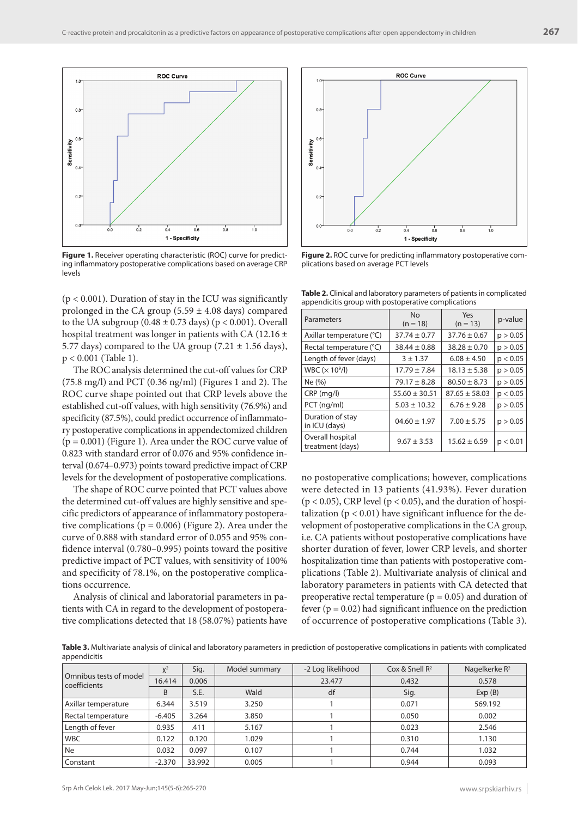

Figure 1. Receiver operating characteristic (ROC) curve for predicting inflammatory postoperative complications based on average CRP levels

 $(p < 0.001)$ . Duration of stay in the ICU was significantly prolonged in the CA group  $(5.59 \pm 4.08$  days) compared to the UA subgroup  $(0.48 \pm 0.73 \text{ days})$  ( $p < 0.001$ ). Overall hospital treatment was longer in patients with CA (12.16  $\pm$ 5.77 days) compared to the UA group  $(7.21 \pm 1.56$  days), p < 0.001 (Table 1).

The ROC analysis determined the cut-off values for CRP (75.8 mg/l) and PCT (0.36 ng/ml) (Figures 1 and 2). The ROC curve shape pointed out that CRP levels above the established cut-off values, with high sensitivity (76.9%) and specificity (87.5%), could predict occurrence of inflammatory postoperative complications in appendectomized children  $(p = 0.001)$  (Figure 1). Area under the ROC curve value of 0.823 with standard error of 0.076 and 95% confidence interval (0.674–0.973) points toward predictive impact of CRP levels for the development of postoperative complications.

The shape of ROC curve pointed that PCT values above the determined cut-off values are highly sensitive and specific predictors of appearance of inflammatory postoperative complications ( $p = 0.006$ ) (Figure 2). Area under the curve of 0.888 with standard error of 0.055 and 95% confidence interval (0.780–0.995) points toward the positive predictive impact of PCT values, with sensitivity of 100% and specificity of 78.1%, on the postoperative complications occurrence.

Analysis of clinical and laboratorial parameters in patients with CA in regard to the development of postoperative complications detected that 18 (58.07%) patients have



**Figure 2.** ROC curve for predicting inflammatory postoperative complications based on average PCT levels

**Table 2.** Clinical and laboratory parameters of patients in complicated appendicitis group with postoperative complications

| Parameters                           | <b>No</b><br>$(n = 18)$ | Yes<br>$(n = 13)$ | p-value  |
|--------------------------------------|-------------------------|-------------------|----------|
| Axillar temperature (°C)             | $37.74 \pm 0.77$        | $37.76 \pm 0.67$  | p > 0.05 |
| Rectal temperature (°C)              | $38.44 \pm 0.88$        | $38.28 \pm 0.70$  | p > 0.05 |
| Length of fever (days)               | $3 + 1.37$              | $6.08 \pm 4.50$   | p < 0.05 |
| WBC $(\times 10^9/l)$                | $17.79 \pm 7.84$        | $18.13 \pm 5.38$  | p > 0.05 |
| Ne (%)                               | $79.17 \pm 8.28$        | $80.50 \pm 8.73$  | p > 0.05 |
| $CRP$ (mg/l)                         | $55.60 \pm 30.51$       | $87.65 \pm 58.03$ | p < 0.05 |
| PCT (ng/ml)                          | $5.03 \pm 10.32$        | $6.76 \pm 9.28$   | p > 0.05 |
| Duration of stay<br>in ICU (days)    | $04.60 \pm 1.97$        | $7.00 \pm 5.75$   | p > 0.05 |
| Overall hospital<br>treatment (days) | $9.67 \pm 3.53$         | $15.62 \pm 6.59$  | p < 0.01 |

no postoperative complications; however, complications were detected in 13 patients (41.93%). Fever duration ( $p < 0.05$ ), CRP level ( $p < 0.05$ ), and the duration of hospitalization ( $p < 0.01$ ) have significant influence for the development of postoperative complications in the CA group, i.e. CA patients without postoperative complications have shorter duration of fever, lower CRP levels, and shorter hospitalization time than patients with postoperative complications (Table 2). Multivariate analysis of clinical and laboratory parameters in patients with CA detected that preoperative rectal temperature ( $p = 0.05$ ) and duration of fever ( $p = 0.02$ ) had significant influence on the prediction of occurrence of postoperative complications (Table 3).

**Table 3.** Multivariate analysis of clinical and laboratory parameters in prediction of postoperative complications in patients with complicated appendicitis

| Omnibus tests of model<br>coefficients | $X^2$    | Sig.   | Model summary | -2 Log likelihood | Cox & Snell $R^2$ | Nagelkerke R <sup>2</sup> |
|----------------------------------------|----------|--------|---------------|-------------------|-------------------|---------------------------|
|                                        | 16.414   | 0.006  |               | 23.477            | 0.432             | 0.578                     |
|                                        | B        | S.E.   | Wald          | df                | Sig.              | Exp(B)                    |
| Axillar temperature                    | 6.344    | 3.519  | 3.250         |                   | 0.071             | 569.192                   |
| Rectal temperature                     | $-6.405$ | 3.264  | 3.850         |                   | 0.050             | 0.002                     |
| Length of fever                        | 0.935    | .411   | 5.167         |                   | 0.023             | 2.546                     |
| <b>WBC</b>                             | 0.122    | 0.120  | 1.029         |                   | 0.310             | 1.130                     |
| <b>Ne</b>                              | 0.032    | 0.097  | 0.107         |                   | 0.744             | 1.032                     |
| Constant                               | $-2.370$ | 33.992 | 0.005         |                   | 0.944             | 0.093                     |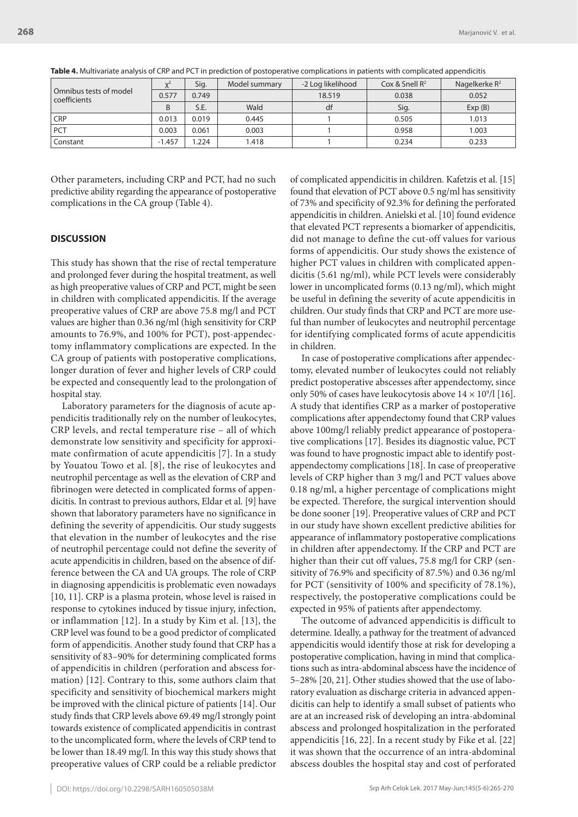| Omnibus tests of model<br>coefficients | $\mathcal{U}^{\mathcal{L}}$ | Sig.  | Model summary | -2 Log likelihood | Cox & Snell $R^2$ | Nagelkerke $R^2$ |
|----------------------------------------|-----------------------------|-------|---------------|-------------------|-------------------|------------------|
|                                        | 0.577                       | 0.749 |               | 18.519            | 0.038             | 0.052            |
|                                        | B                           | S.E.  | Wald          | df                | Sig.              | Exp(B)           |
| <b>CRP</b>                             | 0.013                       | 0.019 | 0.445         |                   | 0.505             | 1.013            |
| <b>PCT</b>                             | 0.003                       | 0.061 | 0.003         |                   | 0.958             | 1.003            |
| Constant                               | $-1.457$                    | .224  | 1.418         |                   | 0.234             | 0.233            |

**Table 4.** Multivariate analysis of CRP and PCT in prediction of postoperative complications in patients with complicated appendicitis

Other parameters, including CRP and PCT, had no such predictive ability regarding the appearance of postoperative complications in the CA group (Table 4).

#### **DISCUSSION**

This study has shown that the rise of rectal temperature and prolonged fever during the hospital treatment, as well as high preoperative values of CRP and PCT, might be seen in children with complicated appendicitis. If the average preoperative values of CRP are above 75.8 mg/l and PCT values are higher than 0.36 ng/ml (high sensitivity for CRP amounts to 76.9%, and 100% for PCT), post-appendectomy inflammatory complications are expected. In the CA group of patients with postoperative complications, longer duration of fever and higher levels of CRP could be expected and consequently lead to the prolongation of hospital stay.

Laboratory parameters for the diagnosis of acute appendicitis traditionally rely on the number of leukocytes, CRP levels, and rectal temperature rise – all of which demonstrate low sensitivity and specificity for approximate confirmation of acute appendicitis [7]. In a study by Youatou Towo et al. [8], the rise of leukocytes and neutrophil percentage as well as the elevation of CRP and fibrinogen were detected in complicated forms of appendicitis. In contrast to previous authors, Eldar et al. [9] have shown that laboratory parameters have no significance in defining the severity of appendicitis. Our study suggests that elevation in the number of leukocytes and the rise of neutrophil percentage could not define the severity of acute appendicitis in children, based on the absence of difference between the CA and UA groups. The role of CRP in diagnosing appendicitis is problematic even nowadays [10, 11]. CRP is a plasma protein, whose level is raised in response to cytokines induced by tissue injury, infection, or inflammation [12]. In a study by Kim et al. [13], the CRP level was found to be a good predictor of complicated form of appendicitis. Another study found that CRP has a sensitivity of 83–90% for determining complicated forms of appendicitis in children (perforation and abscess formation) [12]. Contrary to this, some authors claim that specificity and sensitivity of biochemical markers might be improved with the clinical picture of patients [14]. Our study finds that CRP levels above 69.49 mg/l strongly point towards existence of complicated appendicitis in contrast to the uncomplicated form, where the levels of CRP tend to be lower than 18.49 mg/l. In this way this study shows that preoperative values of CRP could be a reliable predictor of complicated appendicitis in children. Kafetzis et al. [15] found that elevation of PCT above 0.5 ng/ml has sensitivity of 73% and specificity of 92.3% for defining the perforated appendicitis in children. Anielski et al. [10] found evidence that elevated PCT represents a biomarker of appendicitis, did not manage to define the cut-off values for various forms of appendicitis. Our study shows the existence of higher PCT values in children with complicated appendicitis (5.61 ng/ml), while PCT levels were considerably lower in uncomplicated forms (0.13 ng/ml), which might be useful in defining the severity of acute appendicitis in children. Our study finds that CRP and PCT are more useful than number of leukocytes and neutrophil percentage for identifying complicated forms of acute appendicitis in children.

In case of postoperative complications after appendectomy, elevated number of leukocytes could not reliably predict postoperative abscesses after appendectomy, since only 50% of cases have leukocytosis above  $14 \times 10^9$ /l [16]. A study that identifies CRP as a marker of postoperative complications after appendectomy found that CRP values above 100mg/l reliably predict appearance of postoperative complications [17]. Besides its diagnostic value, PCT was found to have prognostic impact able to identify postappendectomy complications [18]. In case of preoperative levels of CRP higher than 3 mg/l and PCT values above 0.18 ng/ml, a higher percentage of complications might be expected. Therefore, the surgical intervention should be done sooner [19]. Preoperative values of CRP and PCT in our study have shown excellent predictive abilities for appearance of inflammatory postoperative complications in children after appendectomy. If the CRP and PCT are higher than their cut off values, 75.8 mg/l for CRP (sensitivity of 76.9% and specificity of 87.5%) and 0.36 ng/ml for PCT (sensitivity of 100% and specificity of 78.1%), respectively, the postoperative complications could be expected in 95% of patients after appendectomy.

The outcome of advanced appendicitis is difficult to determine. Ideally, a pathway for the treatment of advanced appendicitis would identify those at risk for developing a postoperative complication, having in mind that complications such as intra-abdominal abscess have the incidence of 5–28% [20, 21]. Other studies showed that the use of laboratory evaluation as discharge criteria in advanced appendicitis can help to identify a small subset of patients who are at an increased risk of developing an intra-abdominal abscess and prolonged hospitalization in the perforated appendicitis [16, 22]. In a recent study by Fike et al. [22] it was shown that the occurrence of an intra-abdominal abscess doubles the hospital stay and cost of perforated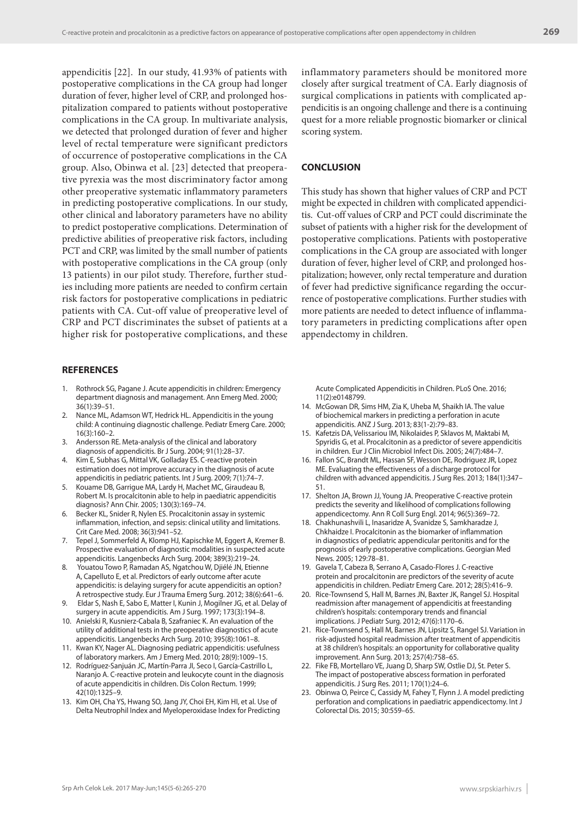appendicitis [22]. In our study, 41.93% of patients with postoperative complications in the CA group had longer duration of fever, higher level of CRP, and prolonged hospitalization compared to patients without postoperative complications in the CA group. In multivariate analysis, we detected that prolonged duration of fever and higher level of rectal temperature were significant predictors of occurrence of postoperative complications in the CA group. Also, Obinwa et al. [23] detected that preoperative pyrexia was the most discriminatory factor among other preoperative systematic inflammatory parameters in predicting postoperative complications. In our study, other clinical and laboratory parameters have no ability to predict postoperative complications. Determination of predictive abilities of preoperative risk factors, including PCT and CRP, was limited by the small number of patients with postoperative complications in the CA group (only 13 patients) in our pilot study. Therefore, further studies including more patients are needed to confirm certain risk factors for postoperative complications in pediatric patients with CA. Cut-off value of preoperative level of CRP and PCT discriminates the subset of patients at a higher risk for postoperative complications, and these

#### **REFERENCES**

- 1. Rothrock SG, Pagane J. Acute appendicitis in children: Emergency department diagnosis and management. Ann Emerg Med. 2000; 36(1):39–51.
- 2. Nance ML, Adamson WT, Hedrick HL. Appendicitis in the young child: A continuing diagnostic challenge. Pediatr Emerg Care. 2000; 16(3):160–2.
- 3. Andersson RE. Meta-analysis of the clinical and laboratory diagnosis of appendicitis. Br J Surg. 2004; 91(1):28–37.
- 4. Kim E, Subhas G, Mittal VK, Golladay ES. C-reactive protein estimation does not improve accuracy in the diagnosis of acute appendicitis in pediatric patients. Int J Surg. 2009; 7(1):74–7.
- 5. Kouame DB, Garrigue MA, Lardy H, Machet MC, Giraudeau B, Robert M. Is procalcitonin able to help in paediatric appendicitis diagnosis? Ann Chir. 2005; 130(3):169–74.
- 6. Becker KL, Snider R, Nylen ES. Procalcitonin assay in systemic inflammation, infection, and sepsis: clinical utility and limitations. Crit Care Med. 2008; 36(3):941–52.
- 7. Tepel J, Sommerfeld A, Klomp HJ, Kapischke M, Eggert A, Kremer B. Prospective evaluation of diagnostic modalities in suspected acute appendicitis. Langenbecks Arch Surg. 2004; 389(3):219–24.
- 8. Youatou Towo P, Ramadan AS, Ngatchou W, Djiélé JN, Etienne A, Capelluto E, et al. Predictors of early outcome after acute appendicitis: is delaying surgery for acute appendicitis an option? A retrospective study. Eur J Trauma Emerg Surg. 2012; 38(6):641–6.
- 9. Eldar S, Nash E, Sabo E, Matter I, Kunin J, Mogilner JG, et al. Delay of surgery in acute appendicitis. Am J Surg. 1997; 173(3):194–8.
- 10. Anielski R, Kusnierz-Cabala B, Szafraniec K. An evaluation of the utility of additional tests in the preoperative diagnostics of acute appendicitis. Langenbecks Arch Surg. 2010; 395(8):1061–8.
- 11. Kwan KY, Nager AL. Diagnosing pediatric appendicitis: usefulness of laboratory markers. Am J Emerg Med. 2010; 28(9):1009–15.
- 12. Rodríguez-Sanjuán JC, Martín-Parra JI, Seco I, García-Castrillo L, Naranjo A. C-reactive protein and leukocyte count in the diagnosis of acute appendicitis in children. Dis Colon Rectum. 1999; 42(10):1325–9.
- 13. Kim OH, Cha YS, Hwang SO, Jang JY, Choi EH, Kim HI, et al. Use of Delta Neutrophil Index and Myeloperoxidase Index for Predicting

inflammatory parameters should be monitored more closely after surgical treatment of CA. Early diagnosis of surgical complications in patients with complicated appendicitis is an ongoing challenge and there is a continuing quest for a more reliable prognostic biomarker or clinical scoring system.

# **CONCLUSION**

This study has shown that higher values of CRP and PCT might be expected in children with complicated appendicitis. Cut-off values of CRP and PCT could discriminate the subset of patients with a higher risk for the development of postoperative complications. Patients with postoperative complications in the CA group are associated with longer duration of fever, higher level of CRP, and prolonged hospitalization; however, only rectal temperature and duration of fever had predictive significance regarding the occurrence of postoperative complications. Further studies with more patients are needed to detect influence of inflammatory parameters in predicting complications after open appendectomy in children.

Acute Complicated Appendicitis in Children. PLoS One. 2016; 11(2):e0148799.

- 14. McGowan DR, Sims HM, Zia K, Uheba M, Shaikh IA. The value of biochemical markers in predicting a perforation in acute appendicitis. ANZ J Surg. 2013; 83(1-2):79–83.
- 15. Kafetzis DA, Velissariou IM, Nikolaides P, Sklavos M, Maktabi M, Spyridis G, et al. Procalcitonin as a predictor of severe appendicitis in children. Eur J Clin Microbiol Infect Dis. 2005; 24(7):484–7.
- 16. Fallon SC, Brandt ML, Hassan SF, Wesson DE, Rodriguez JR, Lopez ME. Evaluating the effectiveness of a discharge protocol for children with advanced appendicitis. J Surg Res. 2013; 184(1):347– 51.
- 17. Shelton JA, Brown JJ, Young JA. Preoperative C-reactive protein predicts the severity and likelihood of complications following appendicectomy. Ann R Coll Surg Engl. 2014; 96(5):369–72.
- 18. Chakhunashvili L, Inasaridze A, Svanidze S, Samkharadze J, Chkhaidze I. Procalcitonin as the biomarker of inflammation in diagnostics of pediatric appendicular peritonitis and for the prognosis of early postoperative complications. Georgian Med News. 2005; 129:78–81.
- 19. Gavela T, Cabeza B, Serrano A, Casado-Flores J. C-reactive protein and procalcitonin are predictors of the severity of acute appendicitis in children. Pediatr Emerg Care. 2012; 28(5):416–9.
- 20. Rice-Townsend S, Hall M, Barnes JN, Baxter JK, Rangel SJ. Hospital readmission after management of appendicitis at freestanding children's hospitals: contemporary trends and financial implications. J Pediatr Surg. 2012; 47(6):1170–6.
- 21. Rice-Townsend S, Hall M, Barnes JN, Lipsitz S, Rangel SJ. Variation in risk-adjusted hospital readmission after treatment of appendicitis at 38 children's hospitals: an opportunity for collaborative quality improvement. Ann Surg. 2013; 257(4):758–65.
- 22. Fike FB, Mortellaro VE, Juang D, Sharp SW, Ostlie DJ, St. Peter S. The impact of postoperative abscess formation in perforated appendicitis. J Surg Res. 2011; 170(1):24–6.
- 23. Obinwa O, Peirce C, Cassidy M, Fahey T, Flynn J. A model predicting perforation and complications in paediatric appendicectomy. Int J Colorectal Dis. 2015; 30:559–65.